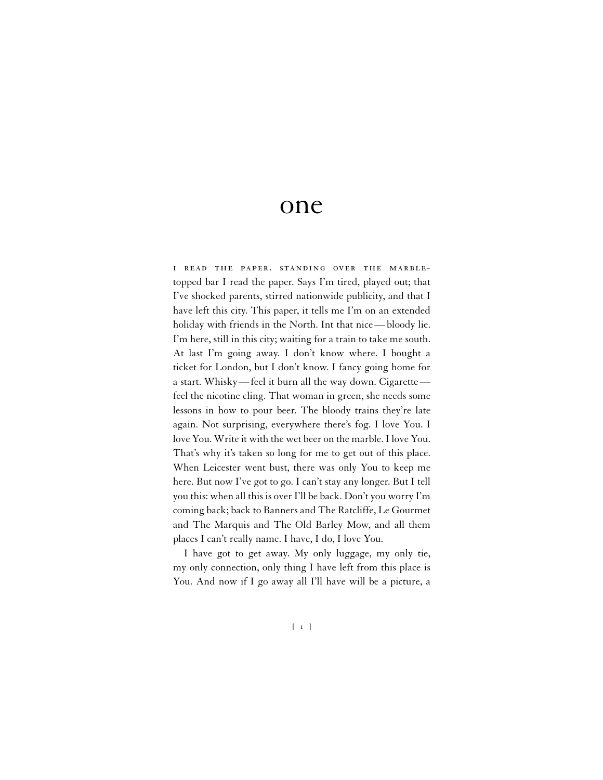## one

i read the paper. standing over the marbletopped bar I read the paper. Says I'm tired, played out; that I've shocked parents, stirred nationwide publicity, and that I have left this city. This paper, it tells me I'm on an extended holiday with friends in the North. Int that nice — bloody lie. I'm here, still in this city; waiting for a train to take me south. At last I'm going away. I don't know where. I bought a ticket for London, but I don't know. I fancy going home for a start. Whisky— feel it burn all the way down. Cigarette feel the nicotine cling. That woman in green, she needs some lessons in how to pour beer. The bloody trains they're late again. Not surprising, everywhere there's fog. I love You. I love You. Write it with the wet beer on the marble. I love You. That's why it's taken so long for me to get out of this place. When Leicester went bust, there was only You to keep me here. But now I've got to go. I can't stay any longer. But I tell you this: when all this is over I'll be back. Don't you worry I'm coming back; back to Banners and The Ratcliffe, Le Gourmet and The Marquis and The Old Barley Mow, and all them places I can't really name. I have, I do, I love You.

I have got to get away. My only luggage, my only tie, my only connection, only thing I have left from this place is You. And now if I go away all I'll have will be a picture, a

[ 1 ]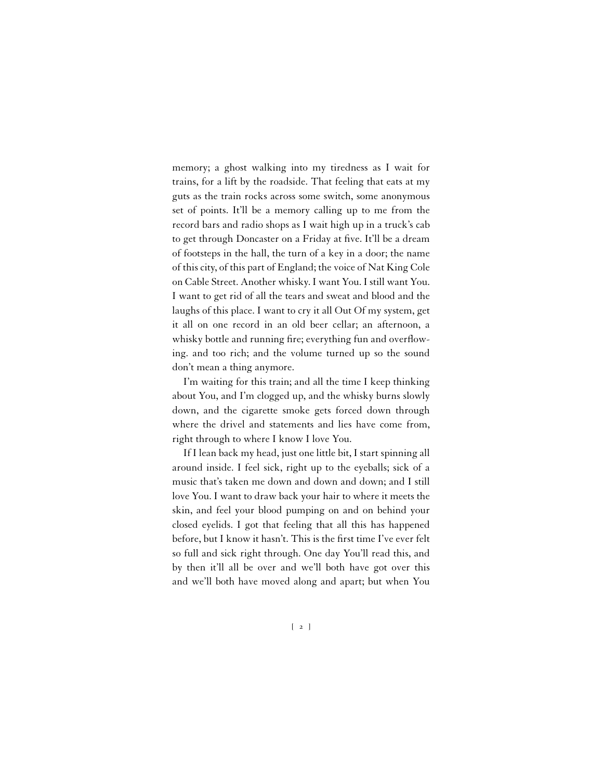memory; a ghost walking into my tiredness as I wait for trains, for a lift by the roadside. That feeling that eats at my guts as the train rocks across some switch, some anonymous set of points. It'll be a memory calling up to me from the record bars and radio shops as I wait high up in a truck's cab to get through Doncaster on a Friday at five. It'll be a dream of footsteps in the hall, the turn of a key in a door; the name of this city, of this part of England; the voice of Nat King Cole on Cable Street. Another whisky. I want You. I still want You. I want to get rid of all the tears and sweat and blood and the laughs of this place. I want to cry it all Out Of my system, get it all on one record in an old beer cellar; an afternoon, a whisky bottle and running fire; everything fun and overflowing. and too rich; and the volume turned up so the sound don't mean a thing anymore.

I'm waiting for this train; and all the time I keep thinking about You, and I'm clogged up, and the whisky burns slowly down, and the cigarette smoke gets forced down through where the drivel and statements and lies have come from, right through to where I know I love You.

If I lean back my head, just one little bit, I start spinning all around inside. I feel sick, right up to the eyeballs; sick of a music that's taken me down and down and down; and I still love You. I want to draw back your hair to where it meets the skin, and feel your blood pumping on and on behind your closed eyelids. I got that feeling that all this has happened before, but I know it hasn't. This is the first time I've ever felt so full and sick right through. One day You'll read this, and by then it'll all be over and we'll both have got over this and we'll both have moved along and apart; but when You

 $\begin{bmatrix} 2 \end{bmatrix}$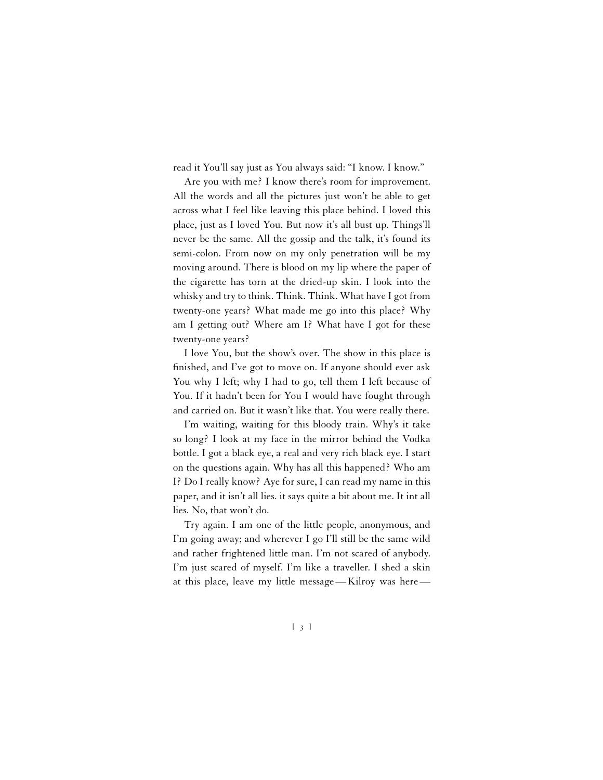read it You'll say just as You always said: "I know. I know."

Are you with me? I know there's room for improvement. All the words and all the pictures just won't be able to get across what I feel like leaving this place behind. I loved this place, just as I loved You. But now it's all bust up. Things'll never be the same. All the gossip and the talk, it's found its semi-colon. From now on my only penetration will be my moving around. There is blood on my lip where the paper of the cigarette has torn at the dried-up skin. I look into the whisky and try to think. Think. Think. What have I got from twenty-one years? What made me go into this place? Why am I getting out? Where am I? What have I got for these twenty-one years?

I love You, but the show's over. The show in this place is finished, and I've got to move on. If anyone should ever ask You why I left; why I had to go, tell them I left because of You. If it hadn't been for You I would have fought through and carried on. But it wasn't like that. You were really there.

I'm waiting, waiting for this bloody train. Why's it take so long? I look at my face in the mirror behind the Vodka bottle. I got a black eye, a real and very rich black eye. I start on the questions again. Why has all this happened? Who am I? Do I really know? Aye for sure, I can read my name in this paper, and it isn't all lies. it says quite a bit about me. It int all lies. No, that won't do.

Try again. I am one of the little people, anonymous, and I'm going away; and wherever I go I'll still be the same wild and rather frightened little man. I'm not scared of anybody. I'm just scared of myself. I'm like a traveller. I shed a skin at this place, leave my little message — Kilroy was here —

[ 3 ]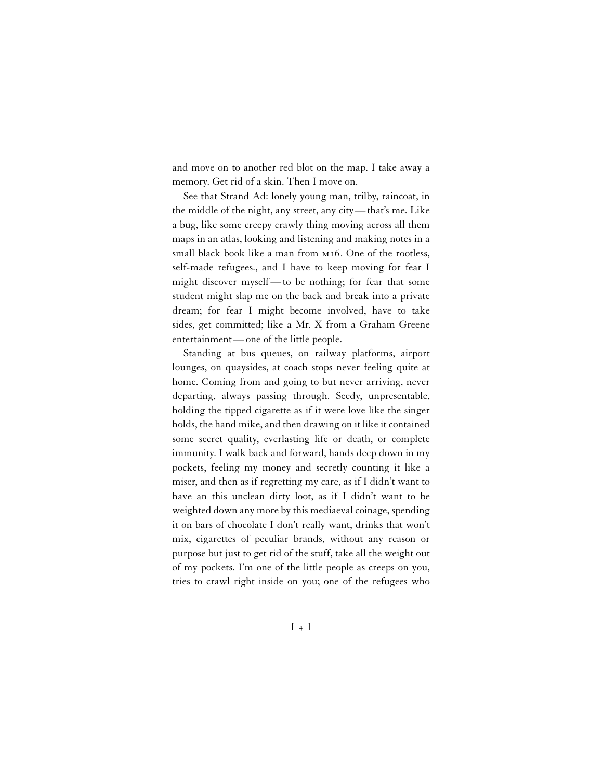and move on to another red blot on the map. I take away a memory. Get rid of a skin. Then I move on.

See that Strand Ad: lonely young man, trilby, raincoat, in the middle of the night, any street, any city— that's me. Like a bug, like some creepy crawly thing moving across all them maps in an atlas, looking and listening and making notes in a small black book like a man from mi6. One of the rootless, self-made refugees., and I have to keep moving for fear I might discover myself — to be nothing; for fear that some student might slap me on the back and break into a private dream; for fear I might become involved, have to take sides, get committed; like a Mr. X from a Graham Greene entertainment — one of the little people.

Standing at bus queues, on railway platforms, airport lounges, on quaysides, at coach stops never feeling quite at home. Coming from and going to but never arriving, never departing, always passing through. Seedy, unpresentable, holding the tipped cigarette as if it were love like the singer holds, the hand mike, and then drawing on it like it contained some secret quality, everlasting life or death, or complete immunity. I walk back and forward, hands deep down in my pockets, feeling my money and secretly counting it like a miser, and then as if regretting my care, as if I didn't want to have an this unclean dirty loot, as if I didn't want to be weighted down any more by this mediaeval coinage, spending it on bars of chocolate I don't really want, drinks that won't mix, cigarettes of peculiar brands, without any reason or purpose but just to get rid of the stuff, take all the weight out of my pockets. I'm one of the little people as creeps on you, tries to crawl right inside on you; one of the refugees who

[ 4 ]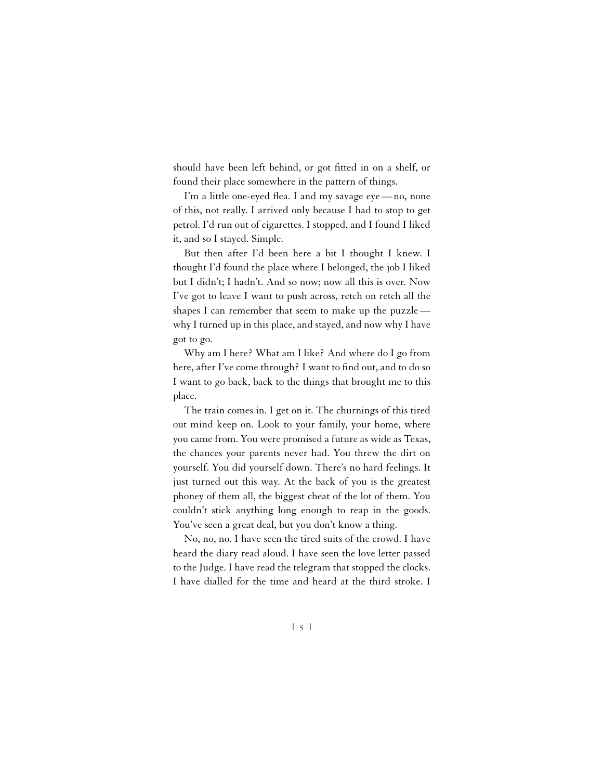should have been left behind, or got fitted in on a shelf, or found their place somewhere in the pattern of things.

I'm a little one-eyed flea. I and my savage eye — no, none of this, not really. I arrived only because I had to stop to get petrol. I'd run out of cigarettes. I stopped, and I found I liked it, and so I stayed. Simple.

But then after I'd been here a bit I thought I knew. I thought I'd found the place where I belonged, the job I liked but I didn't; I hadn't. And so now; now all this is over. Now I've got to leave I want to push across, retch on retch all the shapes I can remember that seem to make up the puzzle why I turned up in this place, and stayed, and now why I have got to go.

Why am I here? What am I like? And where do I go from here, after I've come through? I want to find out, and to do so I want to go back, back to the things that brought me to this place.

The train comes in. I get on it. The churnings of this tired out mind keep on. Look to your family, your home, where you came from. You were promised a future as wide as Texas, the chances your parents never had. You threw the dirt on yourself. You did yourself down. There's no hard feelings. It just turned out this way. At the back of you is the greatest phoney of them all, the biggest cheat of the lot of them. You couldn't stick anything long enough to reap in the goods. You've seen a great deal, but you don't know a thing.

No, no, no. I have seen the tired suits of the crowd. I have heard the diary read aloud. I have seen the love letter passed to the Judge. I have read the telegram that stopped the clocks. I have dialled for the time and heard at the third stroke. I

[ 5 ]